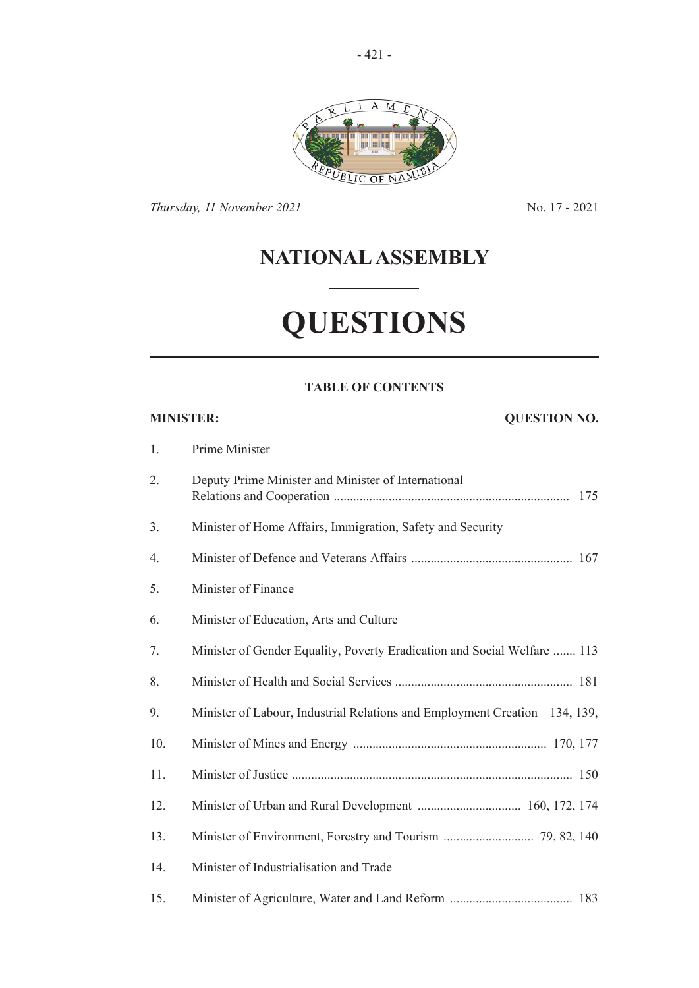

*Thursday, 11 November 2021* No. 17 - 2021

## **NATIONAL ASSEMBLY**

# **QUESTIONS**

### **TABLE OF CONTENTS**

#### **MINISTER: QUESTION NO.**

| 1.  | Prime Minister                                                             |
|-----|----------------------------------------------------------------------------|
| 2.  | Deputy Prime Minister and Minister of International                        |
| 3.  | Minister of Home Affairs, Immigration, Safety and Security                 |
| 4.  |                                                                            |
| 5.  | Minister of Finance                                                        |
| 6.  | Minister of Education, Arts and Culture                                    |
| 7.  | Minister of Gender Equality, Poverty Eradication and Social Welfare  113   |
| 8.  |                                                                            |
| 9.  | Minister of Labour, Industrial Relations and Employment Creation 134, 139, |
| 10. |                                                                            |
| 11. |                                                                            |
| 12. |                                                                            |
| 13. |                                                                            |
| 14. | Minister of Industrialisation and Trade                                    |
| 15. |                                                                            |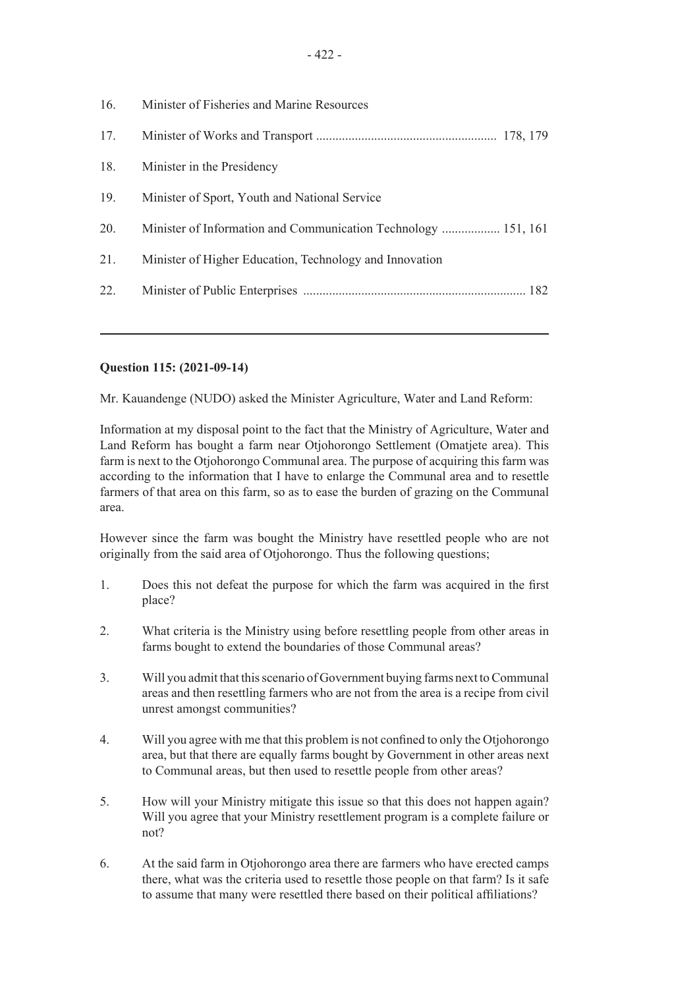| 16. | Minister of Fisheries and Marine Resources                     |
|-----|----------------------------------------------------------------|
| 17. |                                                                |
| 18. | Minister in the Presidency                                     |
| 19. | Minister of Sport, Youth and National Service                  |
| 20. | Minister of Information and Communication Technology  151, 161 |
| 21. | Minister of Higher Education, Technology and Innovation        |
| 22. |                                                                |
|     |                                                                |

### **Question 115: (2021-09-14)**

Mr. Kauandenge (NUDO) asked the Minister Agriculture, Water and Land Reform:

Information at my disposal point to the fact that the Ministry of Agriculture, Water and Land Reform has bought a farm near Otjohorongo Settlement (Omatjete area). This farm is next to the Otjohorongo Communal area. The purpose of acquiring this farm was according to the information that I have to enlarge the Communal area and to resettle farmers of that area on this farm, so as to ease the burden of grazing on the Communal area.

However since the farm was bought the Ministry have resettled people who are not originally from the said area of Otjohorongo. Thus the following questions;

- 1. Does this not defeat the purpose for which the farm was acquired in the first place?
- 2. What criteria is the Ministry using before resettling people from other areas in farms bought to extend the boundaries of those Communal areas?
- 3. Will you admit that this scenario of Government buying farms next to Communal areas and then resettling farmers who are not from the area is a recipe from civil unrest amongst communities?
- 4. Will you agree with me that this problem is not confined to only the Otjohorongo area, but that there are equally farms bought by Government in other areas next to Communal areas, but then used to resettle people from other areas?
- 5. How will your Ministry mitigate this issue so that this does not happen again? Will you agree that your Ministry resettlement program is a complete failure or not?
- 6. At the said farm in Otjohorongo area there are farmers who have erected camps there, what was the criteria used to resettle those people on that farm? Is it safe to assume that many were resettled there based on their political affiliations?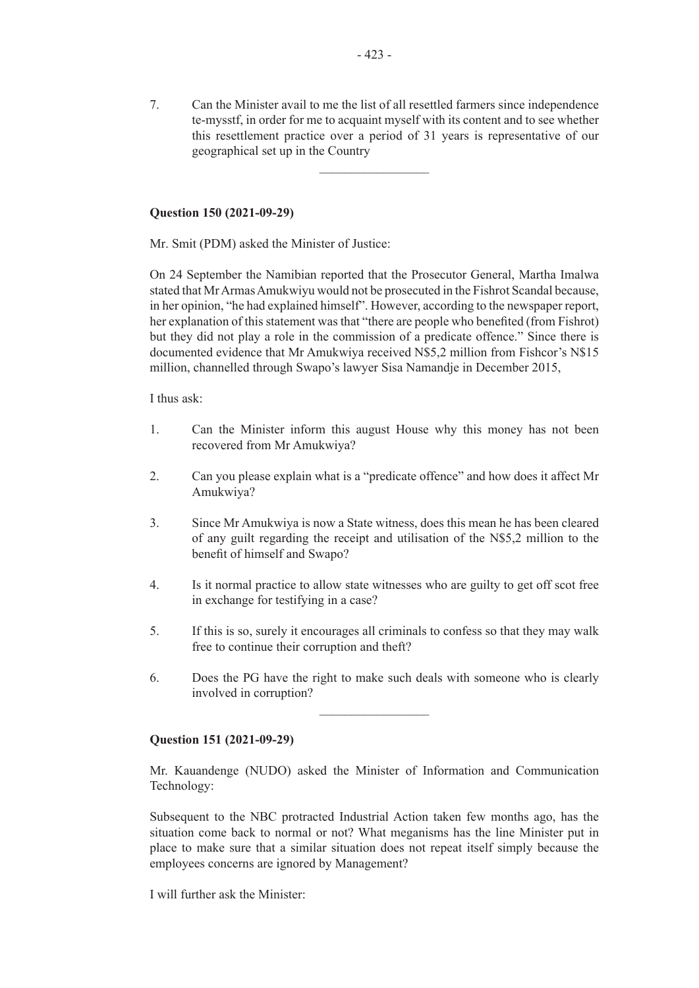7. Can the Minister avail to me the list of all resettled farmers since independence te-mysstf, in order for me to acquaint myself with its content and to see whether this resettlement practice over a period of 31 years is representative of our geographical set up in the Country

 $\overline{\phantom{a}}$  , where  $\overline{\phantom{a}}$ 

#### **Question 150 (2021-09-29)**

Mr. Smit (PDM) asked the Minister of Justice:

On 24 September the Namibian reported that the Prosecutor General, Martha Imalwa stated that Mr Armas Amukwiyu would not be prosecuted in the Fishrot Scandal because, in her opinion, "he had explained himself". However, according to the newspaper report, her explanation of this statement was that "there are people who benefited (from Fishrot) but they did not play a role in the commission of a predicate offence." Since there is documented evidence that Mr Amukwiya received N\$5,2 million from Fishcor's N\$15 million, channelled through Swapo's lawyer Sisa Namandje in December 2015,

I thus ask:

- 1. Can the Minister inform this august House why this money has not been recovered from Mr Amukwiya?
- 2. Can you please explain what is a "predicate offence" and how does it affect Mr Amukwiya?
- 3. Since Mr Amukwiya is now a State witness, does this mean he has been cleared of any guilt regarding the receipt and utilisation of the N\$5,2 million to the benefit of himself and Swapo?
- 4. Is it normal practice to allow state witnesses who are guilty to get off scot free in exchange for testifying in a case?
- 5. If this is so, surely it encourages all criminals to confess so that they may walk free to continue their corruption and theft?
- 6. Does the PG have the right to make such deals with someone who is clearly involved in corruption?

 $\frac{1}{2}$ 

#### **Question 151 (2021-09-29)**

Mr. Kauandenge (NUDO) asked the Minister of Information and Communication Technology:

Subsequent to the NBC protracted Industrial Action taken few months ago, has the situation come back to normal or not? What meganisms has the line Minister put in place to make sure that a similar situation does not repeat itself simply because the employees concerns are ignored by Management?

I will further ask the Minister: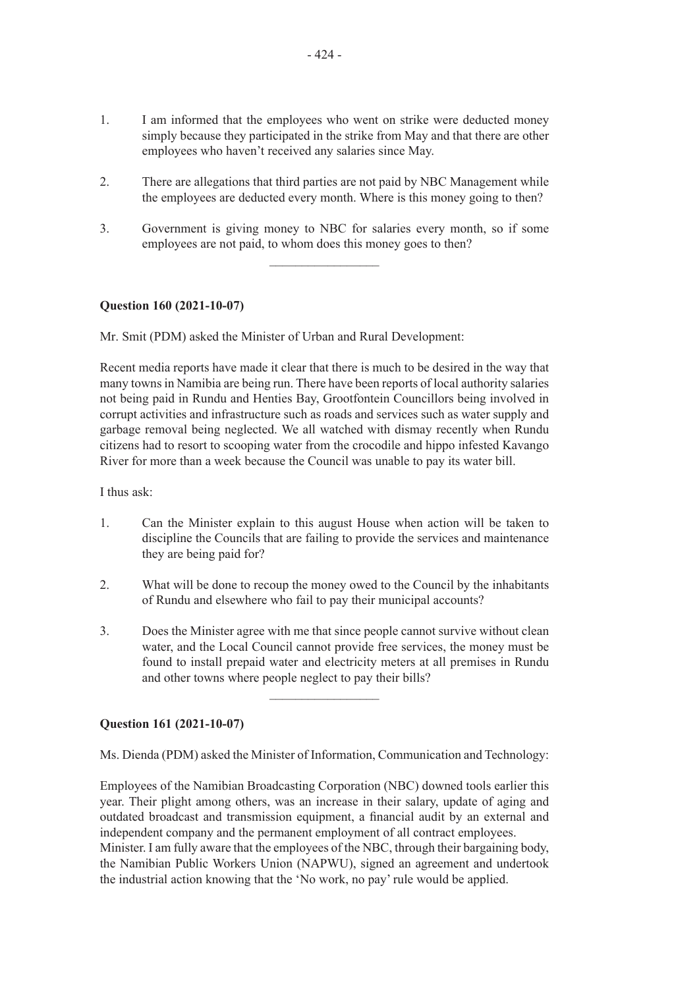- 1. I am informed that the employees who went on strike were deducted money simply because they participated in the strike from May and that there are other employees who haven't received any salaries since May.
- 2. There are allegations that third parties are not paid by NBC Management while the employees are deducted every month. Where is this money going to then?
- 3. Government is giving money to NBC for salaries every month, so if some employees are not paid, to whom does this money goes to then?

 $\frac{1}{2}$  ,  $\frac{1}{2}$  ,  $\frac{1}{2}$  ,  $\frac{1}{2}$  ,  $\frac{1}{2}$  ,  $\frac{1}{2}$  ,  $\frac{1}{2}$  ,  $\frac{1}{2}$  ,  $\frac{1}{2}$  ,  $\frac{1}{2}$ 

#### **Question 160 (2021-10-07)**

Mr. Smit (PDM) asked the Minister of Urban and Rural Development:

Recent media reports have made it clear that there is much to be desired in the way that many towns in Namibia are being run. There have been reports of local authority salaries not being paid in Rundu and Henties Bay, Grootfontein Councillors being involved in corrupt activities and infrastructure such as roads and services such as water supply and garbage removal being neglected. We all watched with dismay recently when Rundu citizens had to resort to scooping water from the crocodile and hippo infested Kavango River for more than a week because the Council was unable to pay its water bill.

I thus ask:

- 1. Can the Minister explain to this august House when action will be taken to discipline the Councils that are failing to provide the services and maintenance they are being paid for?
- 2. What will be done to recoup the money owed to the Council by the inhabitants of Rundu and elsewhere who fail to pay their municipal accounts?
- 3. Does the Minister agree with me that since people cannot survive without clean water, and the Local Council cannot provide free services, the money must be found to install prepaid water and electricity meters at all premises in Rundu and other towns where people neglect to pay their bills?

 $\frac{1}{2}$  ,  $\frac{1}{2}$  ,  $\frac{1}{2}$  ,  $\frac{1}{2}$  ,  $\frac{1}{2}$  ,  $\frac{1}{2}$  ,  $\frac{1}{2}$  ,  $\frac{1}{2}$  ,  $\frac{1}{2}$  ,  $\frac{1}{2}$ 

#### **Question 161 (2021-10-07)**

Ms. Dienda (PDM) asked the Minister of Information, Communication and Technology:

Employees of the Namibian Broadcasting Corporation (NBC) downed tools earlier this year. Their plight among others, was an increase in their salary, update of aging and outdated broadcast and transmission equipment, a financial audit by an external and independent company and the permanent employment of all contract employees. Minister. I am fully aware that the employees of the NBC, through their bargaining body, the Namibian Public Workers Union (NAPWU), signed an agreement and undertook the industrial action knowing that the 'No work, no pay' rule would be applied.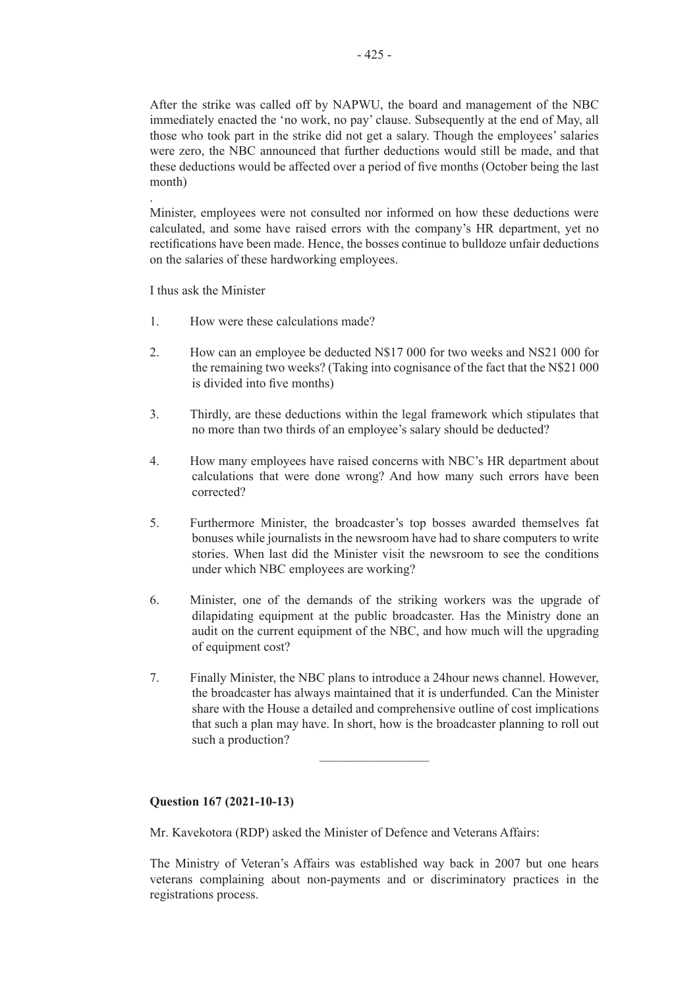After the strike was called off by NAPWU, the board and management of the NBC immediately enacted the 'no work, no pay' clause. Subsequently at the end of May, all those who took part in the strike did not get a salary. Though the employees' salaries were zero, the NBC announced that further deductions would still be made, and that these deductions would be affected over a period of five months (October being the last month)

Minister, employees were not consulted nor informed on how these deductions were calculated, and some have raised errors with the company's HR department, yet no rectifications have been made. Hence, the bosses continue to bulldoze unfair deductions on the salaries of these hardworking employees.

I thus ask the Minister

.

- 1. How were these calculations made?
- 2. How can an employee be deducted N\$17 000 for two weeks and NS21 000 for the remaining two weeks? (Taking into cognisance of the fact that the N\$21 000 is divided into five months)
- 3. Thirdly, are these deductions within the legal framework which stipulates that no more than two thirds of an employee's salary should be deducted?
- 4. How many employees have raised concerns with NBC's HR department about calculations that were done wrong? And how many such errors have been corrected?
- 5. Furthermore Minister, the broadcaster's top bosses awarded themselves fat bonuses while journalists in the newsroom have had to share computers to write stories. When last did the Minister visit the newsroom to see the conditions under which NBC employees are working?
- 6. Minister, one of the demands of the striking workers was the upgrade of dilapidating equipment at the public broadcaster. Has the Ministry done an audit on the current equipment of the NBC, and how much will the upgrading of equipment cost?
- 7. Finally Minister, the NBC plans to introduce a 24hour news channel. However, the broadcaster has always maintained that it is underfunded. Can the Minister share with the House a detailed and comprehensive outline of cost implications that such a plan may have. In short, how is the broadcaster planning to roll out such a production?

 $\overline{\phantom{a}}$  , where  $\overline{\phantom{a}}$ 

#### **Question 167 (2021-10-13)**

Mr. Kavekotora (RDP) asked the Minister of Defence and Veterans Affairs:

The Ministry of Veteran's Affairs was established way back in 2007 but one hears veterans complaining about non-payments and or discriminatory practices in the registrations process.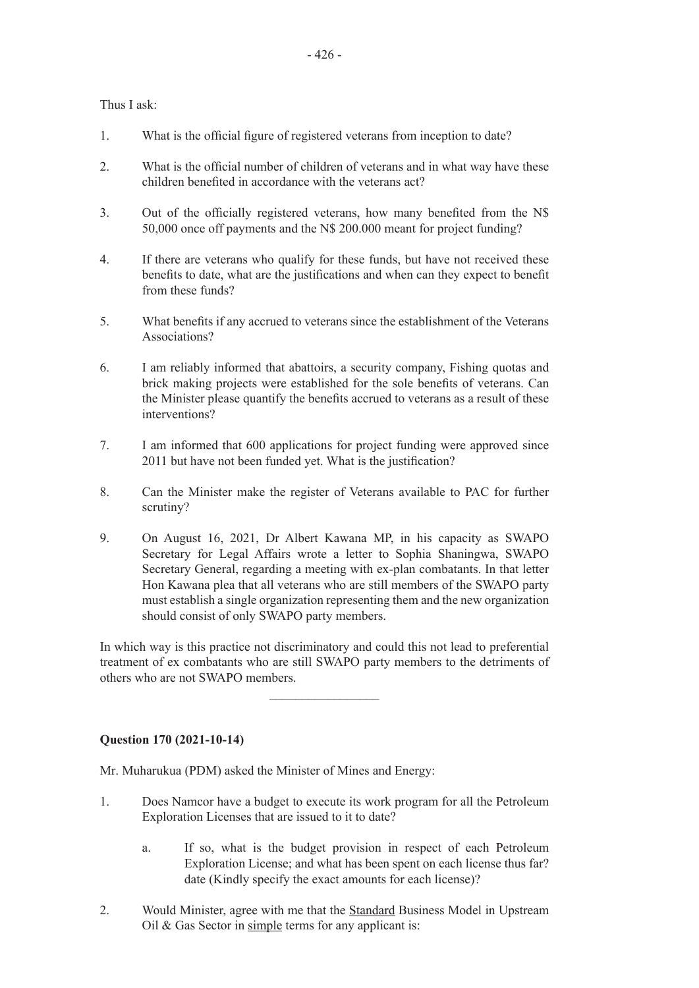Thus I ask:

- 1. What is the official figure of registered veterans from inception to date?
- 2. What is the official number of children of veterans and in what way have these children benefited in accordance with the veterans act?
- 3. Out of the officially registered veterans, how many benefited from the N\$ 50,000 once off payments and the N\$ 200.000 meant for project funding?
- 4. If there are veterans who qualify for these funds, but have not received these benefits to date, what are the justifications and when can they expect to benefit from these funds?
- 5. What benefits if any accrued to veterans since the establishment of the Veterans Associations?
- 6. I am reliably informed that abattoirs, a security company, Fishing quotas and brick making projects were established for the sole benefits of veterans. Can the Minister please quantify the benefits accrued to veterans as a result of these interventions?
- 7. I am informed that 600 applications for project funding were approved since 2011 but have not been funded yet. What is the justification?
- 8. Can the Minister make the register of Veterans available to PAC for further scrutiny?
- 9. On August 16, 2021, Dr Albert Kawana MP, in his capacity as SWAPO Secretary for Legal Affairs wrote a letter to Sophia Shaningwa, SWAPO Secretary General, regarding a meeting with ex-plan combatants. In that letter Hon Kawana plea that all veterans who are still members of the SWAPO party must establish a single organization representing them and the new organization should consist of only SWAPO party members.

In which way is this practice not discriminatory and could this not lead to preferential treatment of ex combatants who are still SWAPO party members to the detriments of others who are not SWAPO members.

 $\frac{1}{2}$  ,  $\frac{1}{2}$  ,  $\frac{1}{2}$  ,  $\frac{1}{2}$  ,  $\frac{1}{2}$  ,  $\frac{1}{2}$  ,  $\frac{1}{2}$  ,  $\frac{1}{2}$  ,  $\frac{1}{2}$  ,  $\frac{1}{2}$ 

### **Question 170 (2021-10-14)**

Mr. Muharukua (PDM) asked the Minister of Mines and Energy:

- 1. Does Namcor have a budget to execute its work program for all the Petroleum Exploration Licenses that are issued to it to date?
	- a. If so, what is the budget provision in respect of each Petroleum Exploration License; and what has been spent on each license thus far? date (Kindly specify the exact amounts for each license)?
- 2. Would Minister, agree with me that the Standard Business Model in Upstream Oil & Gas Sector in simple terms for any applicant is: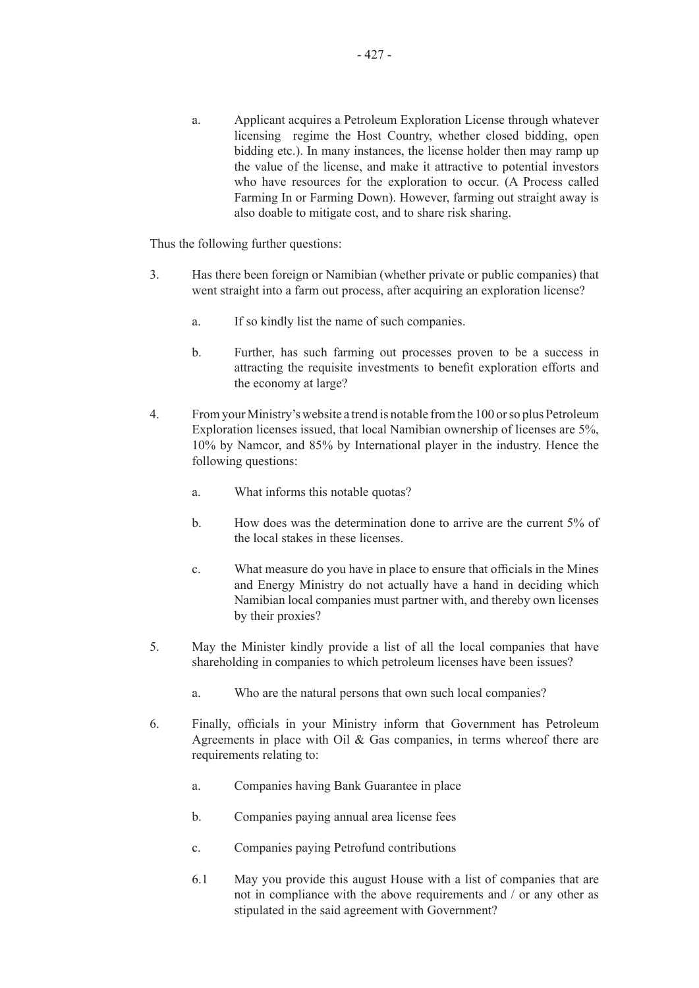a. Applicant acquires a Petroleum Exploration License through whatever licensing regime the Host Country, whether closed bidding, open bidding etc.). In many instances, the license holder then may ramp up the value of the license, and make it attractive to potential investors who have resources for the exploration to occur. (A Process called Farming In or Farming Down). However, farming out straight away is also doable to mitigate cost, and to share risk sharing.

Thus the following further questions:

- 3. Has there been foreign or Namibian (whether private or public companies) that went straight into a farm out process, after acquiring an exploration license?
	- a. If so kindly list the name of such companies.
	- b. Further, has such farming out processes proven to be a success in attracting the requisite investments to benefit exploration efforts and the economy at large?
- 4. From your Ministry's website a trend is notable from the 100 or so plus Petroleum Exploration licenses issued, that local Namibian ownership of licenses are 5%, 10% by Namcor, and 85% by International player in the industry. Hence the following questions:
	- a. What informs this notable quotas?
	- b. How does was the determination done to arrive are the current 5% of the local stakes in these licenses.
	- c. What measure do you have in place to ensure that officials in the Mines and Energy Ministry do not actually have a hand in deciding which Namibian local companies must partner with, and thereby own licenses by their proxies?
- 5. May the Minister kindly provide a list of all the local companies that have shareholding in companies to which petroleum licenses have been issues?
	- a. Who are the natural persons that own such local companies?
- 6. Finally, officials in your Ministry inform that Government has Petroleum Agreements in place with Oil  $\&$  Gas companies, in terms whereof there are requirements relating to:
	- a. Companies having Bank Guarantee in place
	- b. Companies paying annual area license fees
	- c. Companies paying Petrofund contributions
	- 6.1 May you provide this august House with a list of companies that are not in compliance with the above requirements and / or any other as stipulated in the said agreement with Government?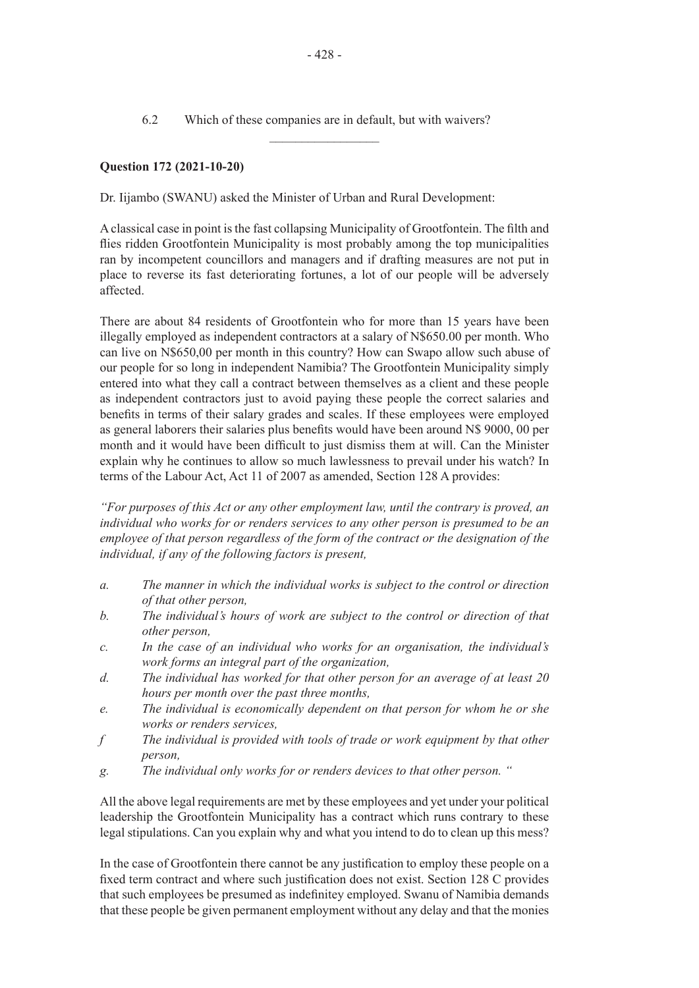### **Question 172 (2021-10-20)**

Dr. Iijambo (SWANU) asked the Minister of Urban and Rural Development:

Aclassical case in point is the fast collapsing Municipality of Grootfontein. The filth and flies ridden Grootfontein Municipality is most probably among the top municipalities ran by incompetent councillors and managers and if drafting measures are not put in place to reverse its fast deteriorating fortunes, a lot of our people will be adversely affected.

There are about 84 residents of Grootfontein who for more than 15 years have been illegally employed as independent contractors at a salary of N\$650.00 per month. Who can live on N\$650,00 per month in this country? How can Swapo allow such abuse of our people for so long in independent Namibia? The Grootfontein Municipality simply entered into what they call a contract between themselves as a client and these people as independent contractors just to avoid paying these people the correct salaries and benefits in terms of their salary grades and scales. If these employees were employed as general laborers their salaries plus benefits would have been around N\$ 9000, 00 per month and it would have been difficult to just dismiss them at will. Can the Minister explain why he continues to allow so much lawlessness to prevail under his watch? In terms of the Labour Act, Act 11 of 2007 as amended, Section 128 A provides:

*"For purposes of this Act or any other employment law, until the contrary is proved, an individual who works for or renders services to any other person is presumed to be an employee of that person regardless of the form of the contract or the designation of the individual, if any of the following factors is present,* 

- *a. The manner in which the individual works is subject to the control or direction of that other person,*
- *b. The individual's hours of work are subject to the control or direction of that other person,*
- *c. In the case of an individual who works for an organisation, the individual's work forms an integral part of the organization,*
- *d. The individual has worked for that other person for an average of at least 20 hours per month over the past three months,*
- *e. The individual is economically dependent on that person for whom he or she works or renders services,*
- *f The individual is provided with tools of trade or work equipment by that other person,*
- *g. The individual only works for or renders devices to that other person. "*

All the above legal requirements are met by these employees and yet under your political leadership the Grootfontein Municipality has a contract which runs contrary to these legal stipulations. Can you explain why and what you intend to do to clean up this mess?

In the case of Grootfontein there cannot be any justification to employ these people on a fixed term contract and where such justification does not exist. Section 128 C provides that such employees be presumed as indefinitey employed. Swanu of Namibia demands that these people be given permanent employment without any delay and that the monies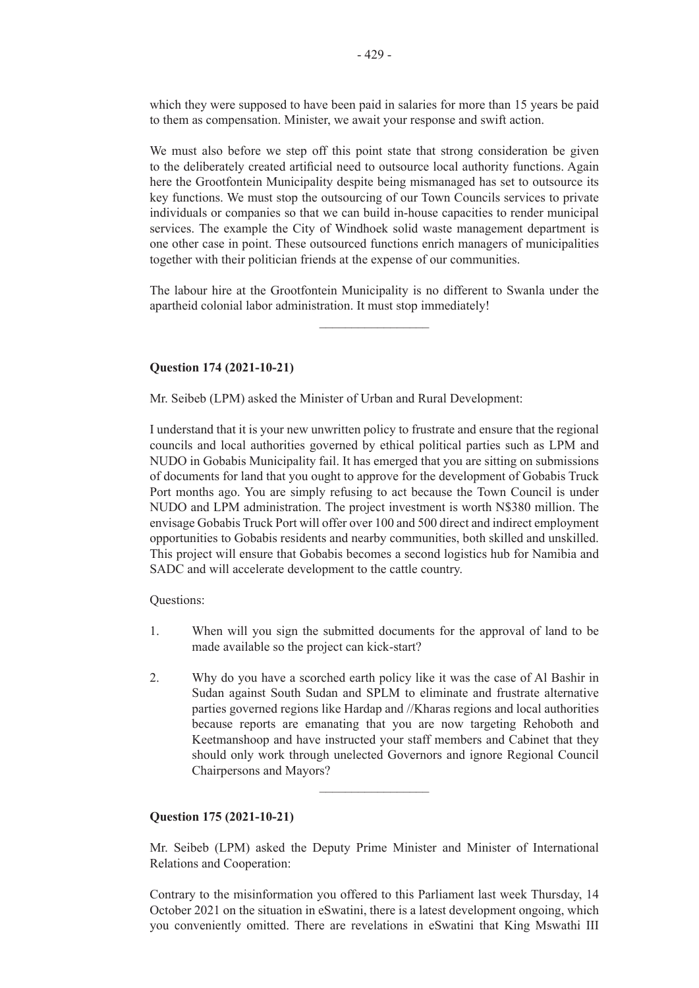which they were supposed to have been paid in salaries for more than 15 years be paid to them as compensation. Minister, we await your response and swift action.

We must also before we step off this point state that strong consideration be given to the deliberately created artificial need to outsource local authority functions. Again here the Grootfontein Municipality despite being mismanaged has set to outsource its key functions. We must stop the outsourcing of our Town Councils services to private individuals or companies so that we can build in-house capacities to render municipal services. The example the City of Windhoek solid waste management department is one other case in point. These outsourced functions enrich managers of municipalities together with their politician friends at the expense of our communities.

The labour hire at the Grootfontein Municipality is no different to Swanla under the apartheid colonial labor administration. It must stop immediately!

 $\overline{\phantom{a}}$  , where  $\overline{\phantom{a}}$ 

#### **Question 174 (2021-10-21)**

Mr. Seibeb (LPM) asked the Minister of Urban and Rural Development:

I understand that it is your new unwritten policy to frustrate and ensure that the regional councils and local authorities governed by ethical political parties such as LPM and NUDO in Gobabis Municipality fail. It has emerged that you are sitting on submissions of documents for land that you ought to approve for the development of Gobabis Truck Port months ago. You are simply refusing to act because the Town Council is under NUDO and LPM administration. The project investment is worth N\$380 million. The envisage Gobabis Truck Port will offer over 100 and 500 direct and indirect employment opportunities to Gobabis residents and nearby communities, both skilled and unskilled. This project will ensure that Gobabis becomes a second logistics hub for Namibia and SADC and will accelerate development to the cattle country.

Questions:

- 1. When will you sign the submitted documents for the approval of land to be made available so the project can kick-start?
- 2. Why do you have a scorched earth policy like it was the case of Al Bashir in Sudan against South Sudan and SPLM to eliminate and frustrate alternative parties governed regions like Hardap and //Kharas regions and local authorities because reports are emanating that you are now targeting Rehoboth and Keetmanshoop and have instructed your staff members and Cabinet that they should only work through unelected Governors and ignore Regional Council Chairpersons and Mayors?

 $\frac{1}{2}$ 

#### **Question 175 (2021-10-21)**

Mr. Seibeb (LPM) asked the Deputy Prime Minister and Minister of International Relations and Cooperation:

Contrary to the misinformation you offered to this Parliament last week Thursday, 14 October 2021 on the situation in eSwatini, there is a latest development ongoing, which you conveniently omitted. There are revelations in eSwatini that King Mswathi III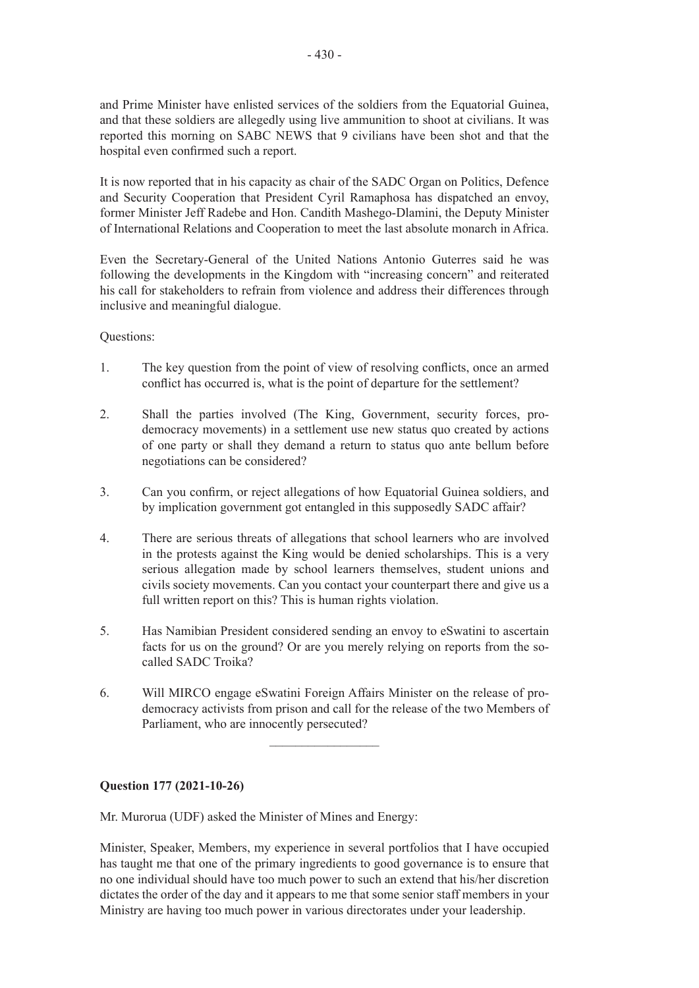and Prime Minister have enlisted services of the soldiers from the Equatorial Guinea, and that these soldiers are allegedly using live ammunition to shoot at civilians. It was reported this morning on SABC NEWS that 9 civilians have been shot and that the hospital even confirmed such a report.

It is now reported that in his capacity as chair of the SADC Organ on Politics, Defence and Security Cooperation that President Cyril Ramaphosa has dispatched an envoy, former Minister Jeff Radebe and Hon. Candith Mashego-Dlamini, the Deputy Minister of International Relations and Cooperation to meet the last absolute monarch in Africa.

Even the Secretary-General of the United Nations Antonio Guterres said he was following the developments in the Kingdom with "increasing concern" and reiterated his call for stakeholders to refrain from violence and address their differences through inclusive and meaningful dialogue.

Questions:

- 1. The key question from the point of view of resolving conflicts, once an armed conflict has occurred is, what is the point of departure for the settlement?
- 2. Shall the parties involved (The King, Government, security forces, prodemocracy movements) in a settlement use new status quo created by actions of one party or shall they demand a return to status quo ante bellum before negotiations can be considered?
- 3. Can you confirm, or reject allegations of how Equatorial Guinea soldiers, and by implication government got entangled in this supposedly SADC affair?
- 4. There are serious threats of allegations that school learners who are involved in the protests against the King would be denied scholarships. This is a very serious allegation made by school learners themselves, student unions and civils society movements. Can you contact your counterpart there and give us a full written report on this? This is human rights violation.
- 5. Has Namibian President considered sending an envoy to eSwatini to ascertain facts for us on the ground? Or are you merely relying on reports from the socalled SADC Troika?
- 6. Will MIRCO engage eSwatini Foreign Affairs Minister on the release of prodemocracy activists from prison and call for the release of the two Members of Parliament, who are innocently persecuted?

 $\frac{1}{2}$ 

**Question 177 (2021-10-26)**

Mr. Murorua (UDF) asked the Minister of Mines and Energy:

Minister, Speaker, Members, my experience in several portfolios that I have occupied has taught me that one of the primary ingredients to good governance is to ensure that no one individual should have too much power to such an extend that his/her discretion dictates the order of the day and it appears to me that some senior staff members in your Ministry are having too much power in various directorates under your leadership.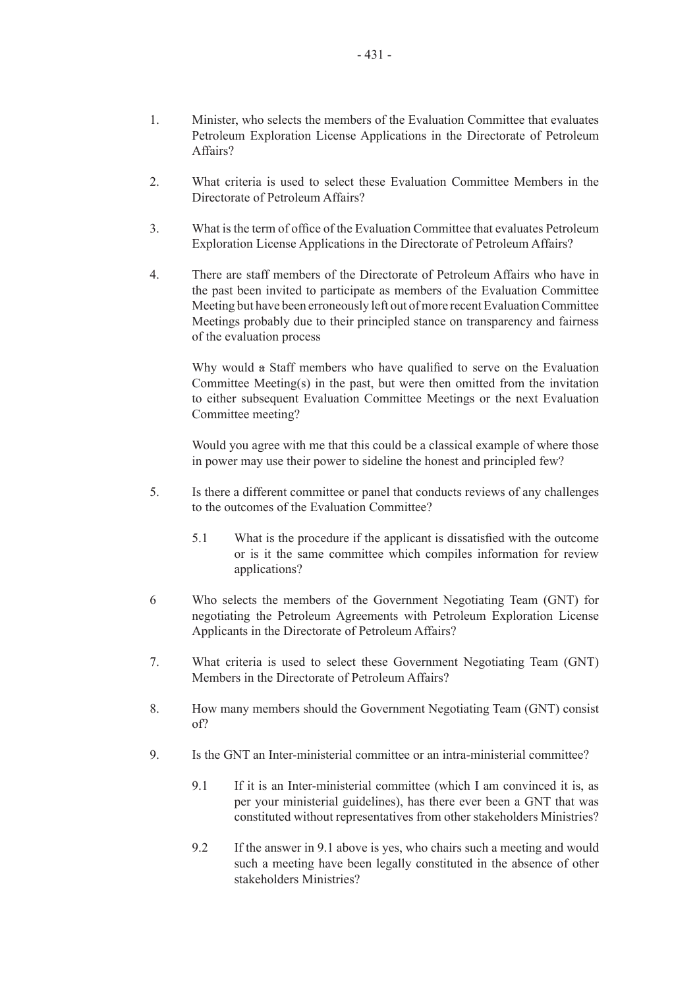- 1. Minister, who selects the members of the Evaluation Committee that evaluates Petroleum Exploration License Applications in the Directorate of Petroleum Affairs?
- 2. What criteria is used to select these Evaluation Committee Members in the Directorate of Petroleum Affairs?
- 3. What is the term of office of the Evaluation Committee that evaluates Petroleum Exploration License Applications in the Directorate of Petroleum Affairs?
- 4. There are staff members of the Directorate of Petroleum Affairs who have in the past been invited to participate as members of the Evaluation Committee Meeting but have been erroneously left out of more recent Evaluation Committee Meetings probably due to their principled stance on transparency and fairness of the evaluation process

Why would a Staff members who have qualified to serve on the Evaluation Committee Meeting(s) in the past, but were then omitted from the invitation to either subsequent Evaluation Committee Meetings or the next Evaluation Committee meeting?

Would you agree with me that this could be a classical example of where those in power may use their power to sideline the honest and principled few?

- 5. Is there a different committee or panel that conducts reviews of any challenges to the outcomes of the Evaluation Committee?
	- 5.1 What is the procedure if the applicant is dissatisfied with the outcome or is it the same committee which compiles information for review applications?
- 6 Who selects the members of the Government Negotiating Team (GNT) for negotiating the Petroleum Agreements with Petroleum Exploration License Applicants in the Directorate of Petroleum Affairs?
- 7. What criteria is used to select these Government Negotiating Team (GNT) Members in the Directorate of Petroleum Affairs?
- 8. How many members should the Government Negotiating Team (GNT) consist of?
- 9. Is the GNT an Inter-ministerial committee or an intra-ministerial committee?
	- 9.1 If it is an Inter-ministerial committee (which I am convinced it is, as per your ministerial guidelines), has there ever been a GNT that was constituted without representatives from other stakeholders Ministries?
	- 9.2 If the answer in 9.1 above is yes, who chairs such a meeting and would such a meeting have been legally constituted in the absence of other stakeholders Ministries?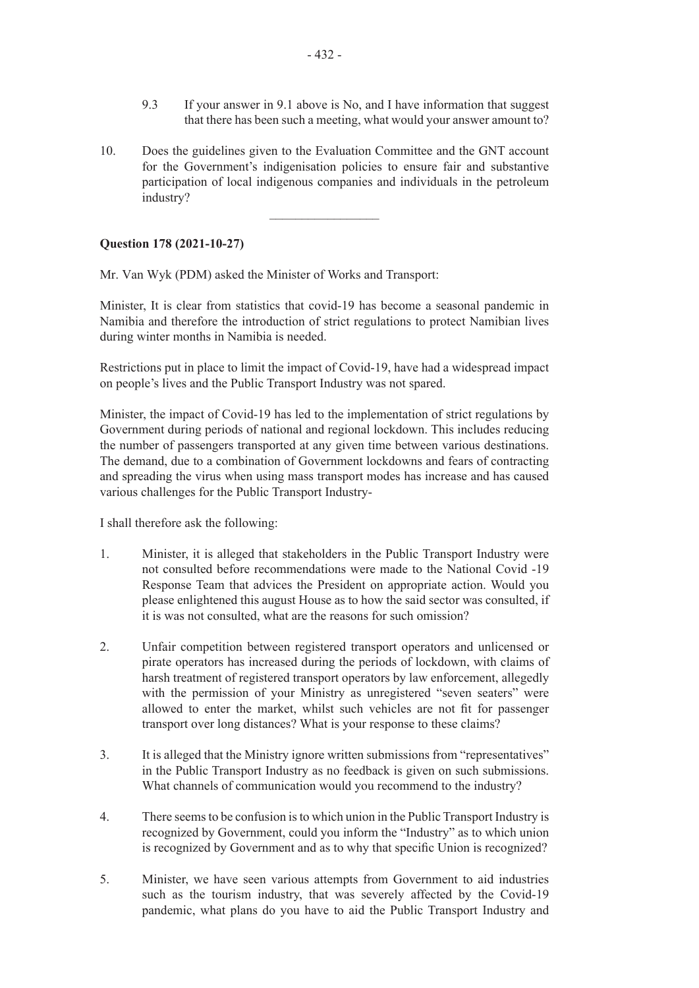- 9.3 If your answer in 9.1 above is No, and I have information that suggest that there has been such a meeting, what would your answer amount to?
- 10. Does the guidelines given to the Evaluation Committee and the GNT account for the Government's indigenisation policies to ensure fair and substantive participation of local indigenous companies and individuals in the petroleum industry?

 $\frac{1}{2}$ 

#### **Question 178 (2021-10-27)**

Mr. Van Wyk (PDM) asked the Minister of Works and Transport:

Minister, It is clear from statistics that covid-19 has become a seasonal pandemic in Namibia and therefore the introduction of strict regulations to protect Namibian lives during winter months in Namibia is needed.

Restrictions put in place to limit the impact of Covid-19, have had a widespread impact on people's lives and the Public Transport Industry was not spared.

Minister, the impact of Covid-19 has led to the implementation of strict regulations by Government during periods of national and regional lockdown. This includes reducing the number of passengers transported at any given time between various destinations. The demand, due to a combination of Government lockdowns and fears of contracting and spreading the virus when using mass transport modes has increase and has caused various challenges for the Public Transport Industry-

I shall therefore ask the following:

- 1. Minister, it is alleged that stakeholders in the Public Transport Industry were not consulted before recommendations were made to the National Covid -19 Response Team that advices the President on appropriate action. Would you please enlightened this august House as to how the said sector was consulted, if it is was not consulted, what are the reasons for such omission?
- 2. Unfair competition between registered transport operators and unlicensed or pirate operators has increased during the periods of lockdown, with claims of harsh treatment of registered transport operators by law enforcement, allegedly with the permission of your Ministry as unregistered "seven seaters" were allowed to enter the market, whilst such vehicles are not fit for passenger transport over long distances? What is your response to these claims?
- 3. It is alleged that the Ministry ignore written submissions from "representatives" in the Public Transport Industry as no feedback is given on such submissions. What channels of communication would you recommend to the industry?
- 4. There seems to be confusion is to which union in the Public Transport Industry is recognized by Government, could you inform the "Industry" as to which union is recognized by Government and as to why that specific Union is recognized?
- 5. Minister, we have seen various attempts from Government to aid industries such as the tourism industry, that was severely affected by the Covid-19 pandemic, what plans do you have to aid the Public Transport Industry and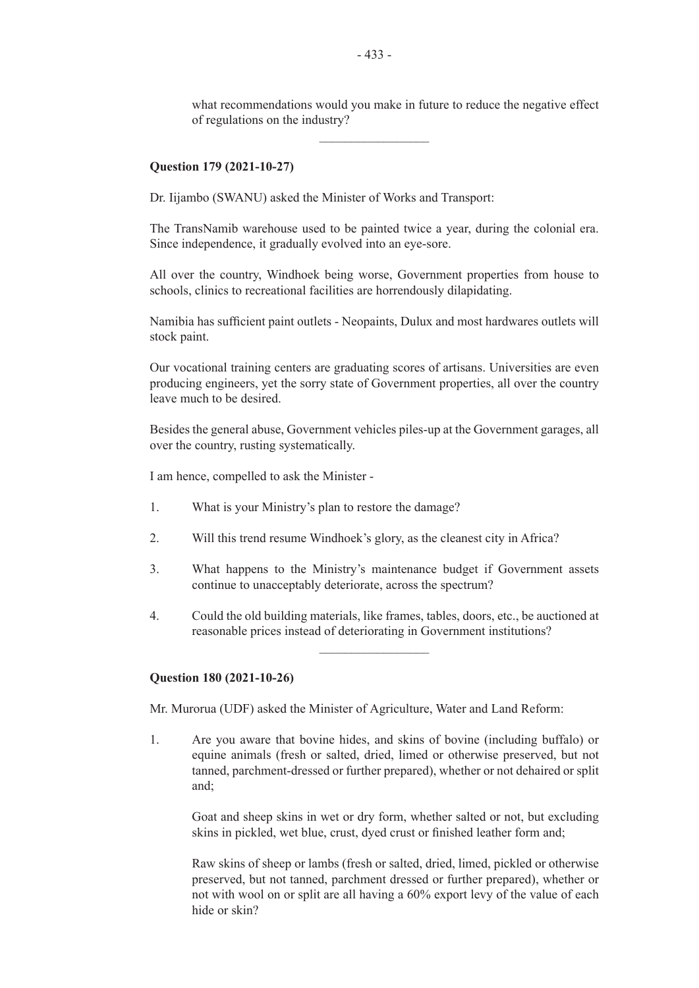what recommendations would you make in future to reduce the negative effect of regulations on the industry?

#### **Question 179 (2021-10-27)**

Dr. Iijambo (SWANU) asked the Minister of Works and Transport:

The TransNamib warehouse used to be painted twice a year, during the colonial era. Since independence, it gradually evolved into an eye-sore.

All over the country, Windhoek being worse, Government properties from house to schools, clinics to recreational facilities are horrendously dilapidating.

Namibia has sufficient paint outlets - Neopaints, Dulux and most hardwares outlets will stock paint.

Our vocational training centers are graduating scores of artisans. Universities are even producing engineers, yet the sorry state of Government properties, all over the country leave much to be desired.

Besides the general abuse, Government vehicles piles-up at the Government garages, all over the country, rusting systematically.

I am hence, compelled to ask the Minister -

- 1. What is your Ministry's plan to restore the damage?
- 2. Will this trend resume Windhoek's glory, as the cleanest city in Africa?
- 3. What happens to the Ministry's maintenance budget if Government assets continue to unacceptably deteriorate, across the spectrum?
- 4. Could the old building materials, like frames, tables, doors, etc., be auctioned at reasonable prices instead of deteriorating in Government institutions?  $\frac{1}{2}$

#### **Question 180 (2021-10-26)**

Mr. Murorua (UDF) asked the Minister of Agriculture, Water and Land Reform:

1. Are you aware that bovine hides, and skins of bovine (including buffalo) or equine animals (fresh or salted, dried, limed or otherwise preserved, but not tanned, parchment-dressed or further prepared), whether or not dehaired or split and;

Goat and sheep skins in wet or dry form, whether salted or not, but excluding skins in pickled, wet blue, crust, dyed crust or finished leather form and;

Raw skins of sheep or lambs (fresh or salted, dried, limed, pickled or otherwise preserved, but not tanned, parchment dressed or further prepared), whether or not with wool on or split are all having a 60% export levy of the value of each hide or skin?

 $\frac{1}{2}$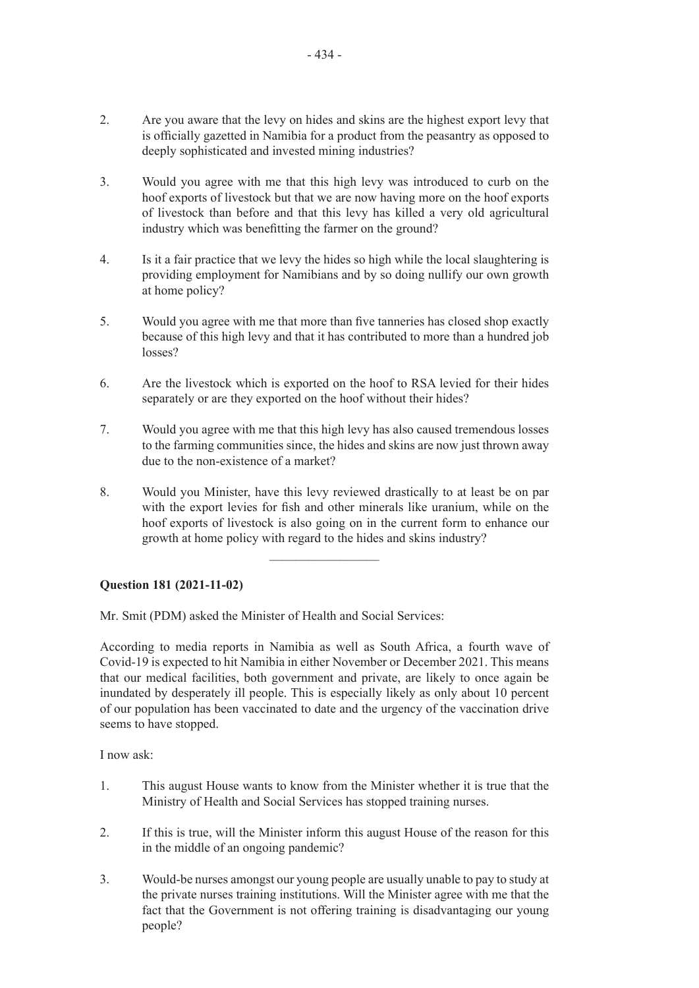- 2. Are you aware that the levy on hides and skins are the highest export levy that is officially gazetted in Namibia for a product from the peasantry as opposed to deeply sophisticated and invested mining industries?
- 3. Would you agree with me that this high levy was introduced to curb on the hoof exports of livestock but that we are now having more on the hoof exports of livestock than before and that this levy has killed a very old agricultural industry which was benefitting the farmer on the ground?
- 4. Is it a fair practice that we levy the hides so high while the local slaughtering is providing employment for Namibians and by so doing nullify our own growth at home policy?
- 5. Would you agree with me that more than five tanneries has closed shop exactly because of this high levy and that it has contributed to more than a hundred job losses?
- 6. Are the livestock which is exported on the hoof to RSA levied for their hides separately or are they exported on the hoof without their hides?
- 7. Would you agree with me that this high levy has also caused tremendous losses to the farming communities since, the hides and skins are now just thrown away due to the non-existence of a market?
- 8. Would you Minister, have this levy reviewed drastically to at least be on par with the export levies for fish and other minerals like uranium, while on the hoof exports of livestock is also going on in the current form to enhance our growth at home policy with regard to the hides and skins industry?

 $\frac{1}{2}$  ,  $\frac{1}{2}$  ,  $\frac{1}{2}$  ,  $\frac{1}{2}$  ,  $\frac{1}{2}$  ,  $\frac{1}{2}$  ,  $\frac{1}{2}$  ,  $\frac{1}{2}$  ,  $\frac{1}{2}$  ,  $\frac{1}{2}$ 

### **Question 181 (2021-11-02)**

Mr. Smit (PDM) asked the Minister of Health and Social Services:

According to media reports in Namibia as well as South Africa, a fourth wave of Covid-19 is expected to hit Namibia in either November or December 2021. This means that our medical facilities, both government and private, are likely to once again be inundated by desperately ill people. This is especially likely as only about 10 percent of our population has been vaccinated to date and the urgency of the vaccination drive seems to have stopped.

I now ask:

- 1. This august House wants to know from the Minister whether it is true that the Ministry of Health and Social Services has stopped training nurses.
- 2. If this is true, will the Minister inform this august House of the reason for this in the middle of an ongoing pandemic?
- 3. Would-be nurses amongst our young people are usually unable to pay to study at the private nurses training institutions. Will the Minister agree with me that the fact that the Government is not offering training is disadvantaging our young people?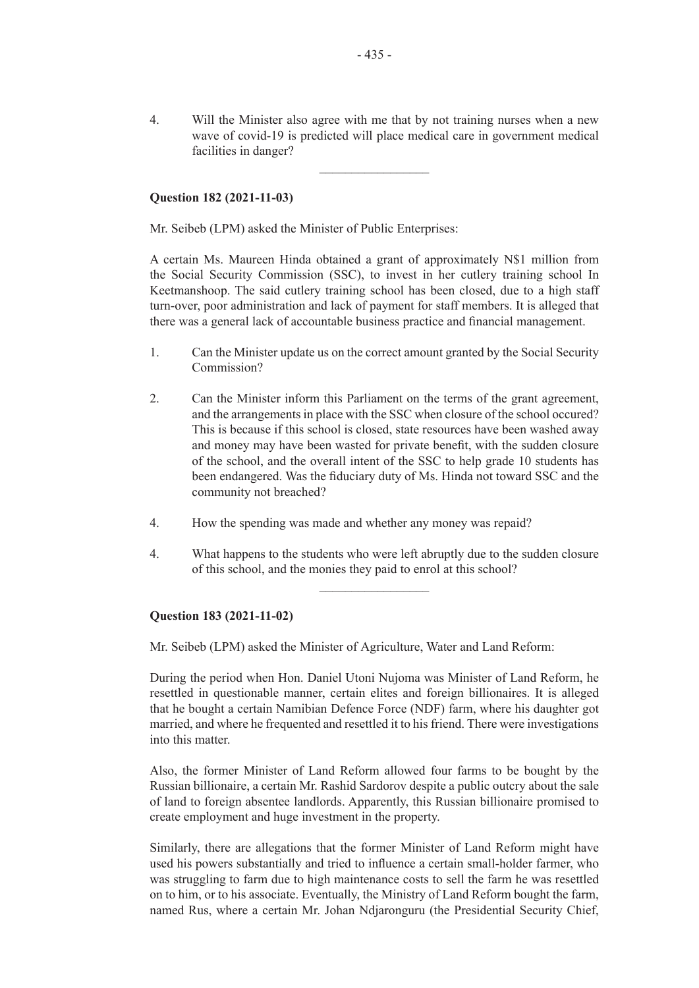4. Will the Minister also agree with me that by not training nurses when a new wave of covid-19 is predicted will place medical care in government medical facilities in danger?

 $\overline{\phantom{a}}$  , where  $\overline{\phantom{a}}$ 

#### **Question 182 (2021-11-03)**

Mr. Seibeb (LPM) asked the Minister of Public Enterprises:

A certain Ms. Maureen Hinda obtained a grant of approximately N\$1 million from the Social Security Commission (SSC), to invest in her cutlery training school In Keetmanshoop. The said cutlery training school has been closed, due to a high staff turn-over, poor administration and lack of payment for staff members. It is alleged that there was a general lack of accountable business practice and financial management.

- 1. Can the Minister update us on the correct amount granted by the Social Security Commission?
- 2. Can the Minister inform this Parliament on the terms of the grant agreement, and the arrangements in place with the SSC when closure of the school occured? This is because if this school is closed, state resources have been washed away and money may have been wasted for private benefit, with the sudden closure of the school, and the overall intent of the SSC to help grade 10 students has been endangered. Was the fiduciary duty of Ms. Hinda not toward SSC and the community not breached?
- 4. How the spending was made and whether any money was repaid?
- 4. What happens to the students who were left abruptly due to the sudden closure of this school, and the monies they paid to enrol at this school?

 $\frac{1}{2}$ 

#### **Question 183 (2021-11-02)**

Mr. Seibeb (LPM) asked the Minister of Agriculture, Water and Land Reform:

During the period when Hon. Daniel Utoni Nujoma was Minister of Land Reform, he resettled in questionable manner, certain elites and foreign billionaires. It is alleged that he bought a certain Namibian Defence Force (NDF) farm, where his daughter got married, and where he frequented and resettled it to his friend. There were investigations into this matter.

Also, the former Minister of Land Reform allowed four farms to be bought by the Russian billionaire, a certain Mr. Rashid Sardorov despite a public outcry about the sale of land to foreign absentee landlords. Apparently, this Russian billionaire promised to create employment and huge investment in the property.

Similarly, there are allegations that the former Minister of Land Reform might have used his powers substantially and tried to influence a certain small-holder farmer, who was struggling to farm due to high maintenance costs to sell the farm he was resettled on to him, or to his associate. Eventually, the Ministry of Land Reform bought the farm, named Rus, where a certain Mr. Johan Ndjaronguru (the Presidential Security Chief,